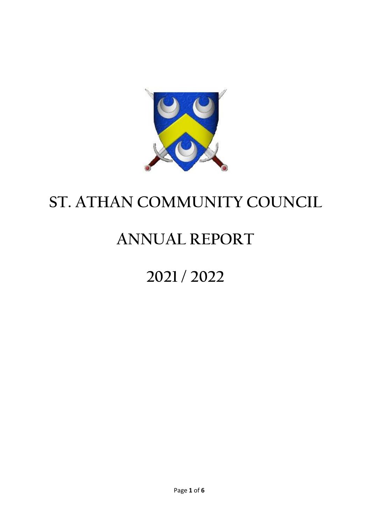

# **ST. ATHAN COMMUNITY COUNCIL**

# **ANNUAL REPORT**

# **2021 / 2022**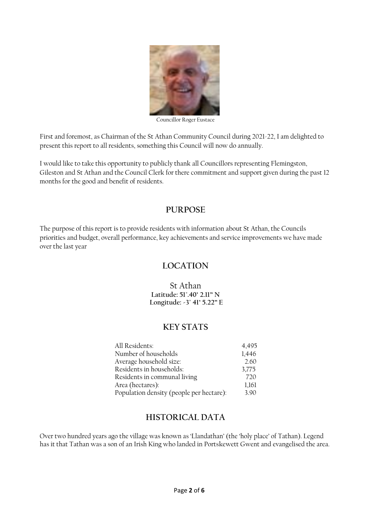

Councillor Roger Eustace

First and foremost, as Chairman of the St Athan Community Council during 2021-22, I am delighted to present this report to all residents, something this Council will now do annually.

I would like to take this opportunity to publicly thank all Councillors representing Flemingston, Gileston and St Athan and the Council Clerk for there commitment and support given during the past 12 months for the good and benefit of residents.

## **PURPOSE**

The purpose of this report is to provide residents with information about St Athan, the Councils priorities and budget, overall performance, key achievements and service improvements we have made over the last year

# **LOCATION**

St Athan **Latitude: 51°.40' 2.11" N Longitude: -3° 41' 5.22" E**

## **KEY STATS**

| All Residents:                           | 4,495 |
|------------------------------------------|-------|
| Number of households                     | 1,446 |
| Average household size:                  | 2.60  |
| Residents in households:                 | 3.775 |
| Residents in communal living             | 720   |
| Area (hectares):                         | 1,161 |
| Population density (people per hectare): | 3.90  |

## **HISTORICAL DATA**

Over two hundred years ago the village was known as 'Llandathan' (the 'holy place' of Tathan). Legend has it that Tathan was a son of an Irish King who landed in Portskewett Gwent and evangelised the area.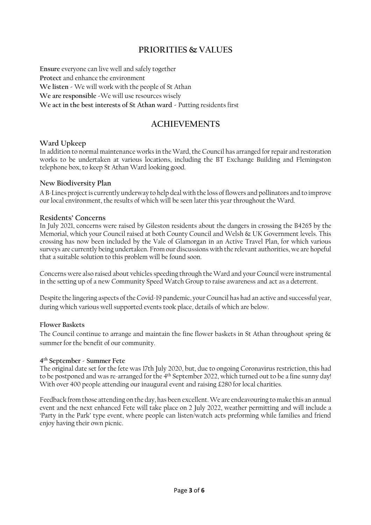# **PRIORITIES & VALUES**

**Ensure** everyone can live well and safely together **Protect** and enhance the environment **We listen -** We will work with the people of St Athan **We are responsible -**We will use resources wisely **We act in the best interests of St Athan ward -** Putting residents first

# **ACHIEVEMENTS**

### **Ward Upkeep**

In addition to normal maintenance works in the Ward, the Council has arranged for repair and restoration works to be undertaken at various locations, including the BT Exchange Building and Flemingston telephone box, to keep St Athan Ward looking good.

#### **New Biodiversity Plan**

A B-Lines project is currently underway to help deal with the loss of flowers and pollinators and to improve our local environment, the results of which will be seen later this year throughout the Ward.

#### **Residents' Concerns**

In July 2021, concerns were raised by Gileston residents about the dangers in crossing the B4265 by the Memorial, which your Council raised at both County Council and Welsh & UK Government levels. This crossing has now been included by the Vale of Glamorgan in an Active Travel Plan, for which various surveys are currently being undertaken. From our discussions with the relevant authorities, we are hopeful that a suitable solution to this problem will be found soon.

Concerns were also raised about vehicles speeding through the Ward and your Council were instrumental in the setting up of a new Community Speed Watch Group to raise awareness and act as a deterrent.

Despite the lingering aspects of the Covid-19 pandemic, your Council has had an active and successful year, during which various well supported events took place, details of which are below.

#### **Flower Baskets**

The Council continue to arrange and maintain the fine flower baskets in St Athan throughout spring & summer for the benefit of our community.

#### **4 th September - Summer Fete**

The original date set for the fete was 17th July 2020, but, due to ongoing Coronavirus restriction, this had to be postponed and was re-arranged for the 4th September 2022, which turned out to be a fine sunny day! With over 400 people attending our inaugural event and raising £280 for local charities.

Feedback from those attending on the day, has been excellent. We are endeavouring to make this an annual event and the next enhanced Fete will take place on 2 July 2022, weather permitting and will include a 'Party in the Park' type event, where people can listen/watch acts preforming while families and friend enjoy having their own picnic.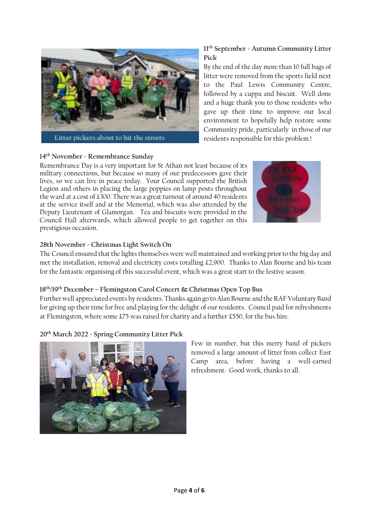

## **14th November - Remembrance Sunday**

Remembrance Day is a very important for St Athan not least because of its military connections, but because so many of our predecessors gave their lives, so we can live in peace today. Your Council supported the British Legion and others in placing the large poppies on lamp posts throughout the ward at a cost of £300. There was a great turnout of around 40 residents at the service itself and at the Memorial, which was also attended by the Deputy Lieutenant of Glamorgan. Tea and biscuits were provided in the Council Hall afterwards, which allowed people to get together on this prestigious occasion.



## **28th November - Christmas Light Switch On**

The Council ensured that the lights themselves were well maintained and working prior to the big day and met the installation, removal and electricity costs totalling £2,900. Thanks to Alan Bourne and his team for the fantastic organising of this successful event, which was a great start to the festive season.

### **18 th/19 th December – Flemingston Carol Concert & Christmas Open Top Bus**

Further well appreciated events by residents. Thanks again go to Alan Bourne and the RAF Voluntary Band for giving up their time for free and playing for the delight of our residents. Council paid for refreshments at Flemingston, where some £75 was raised for charity and a further £550, for the bus hire.

## **20th March 2022 - Spring Community Litter Pick**



Few in number, but this merry band of pickers removed a large amount of litter from collect East Camp area, before having a well-earned refreshment. Good work, thanks to all.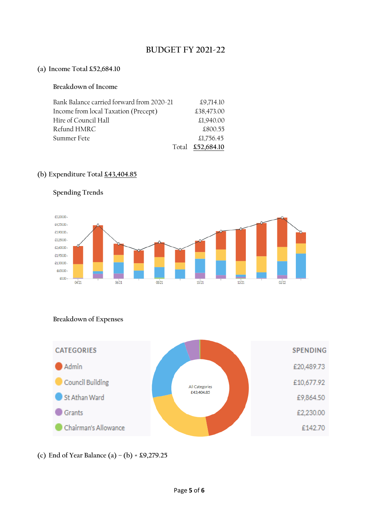# **BUDGET FY 2021-22**

#### **(a) Income Total £52,684.10**

## **Breakdown of Income**

| Bank Balance carried forward from 2020-21 | £9.714.10        |
|-------------------------------------------|------------------|
| Income from local Taxation (Precept)      | £38,473.00       |
| Hire of Council Hall                      | £1,940.00        |
| Refund HMRC                               | £800.55          |
| Summer Fete                               | £1,756.45        |
|                                           | Total £52,684.10 |

## **(b) Expenditure Total £43,404.85**



# **Spending Trends**

## **Breakdown of Expenses**



# **(c) End of Year Balance (a) – (b) = £9,279.25**